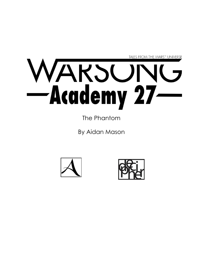

The Phantom

By Aidan Mason



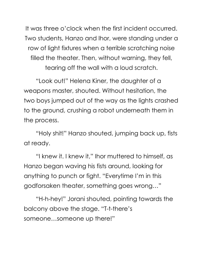It was three o'clock when the first incident occurred. Two students, Hanzo and Ihor, were standing under a row of light fixtures when a terrible scratching noise filled the theater. Then, without warning, they fell, tearing off the wall with a loud scratch.

"Look out!" Helena Kiner, the daughter of a weapons master, shouted. Without hesitation, the two boys jumped out of the way as the lights crashed to the ground, crushing a robot underneath them in the process.

"Holy shit!" Hanzo shouted, jumping back up, fists at ready.

"I knew it. I knew it," Ihor muttered to himself, as Hanzo began waving his fists around, looking for anything to punch or fight. "Everytime I'm in this godforsaken theater, something goes wrong…"

"H-h-hey!" Jorani shouted, pointing towards the balcony above the stage. "T-t-there's someone…someone up there!"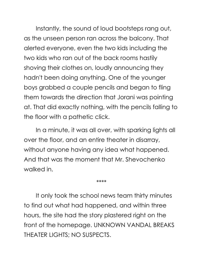Instantly, the sound of loud bootsteps rang out, as the unseen person ran across the balcony. That alerted everyone, even the two kids including the two kids who ran out of the back rooms hastily shoving their clothes on, loudly announcing they hadn't been doing anything. One of the younger boys grabbed a couple pencils and began to fling them towards the direction that Jorani was pointing at. That did exactly nothing, with the pencils falling to the floor with a pathetic click.

In a minute, it was all over, with sparking lights all over the floor, and an entire theater in disarray, without anyone having any idea what happened. And that was the moment that Mr. Shevochenko walked in.

\*\*\*\*

It only took the school news team thirty minutes to find out what had happened, and within three hours, the site had the story plastered right on the front of the homepage. UNKNOWN VANDAL BREAKS THEATER LIGHTS; NO SUSPECTS.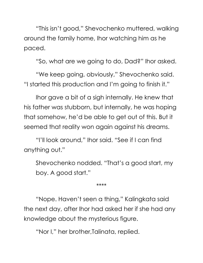"This isn't good," Shevochenko muttered, walking around the family home, Ihor watching him as he paced.

"So, what are we going to do, Dad?" Ihor asked.

"We keep going, obviously," Shevochenko said. "I started this production and I'm going to finish it."

Ihor gave a bit of a sigh internally. He knew that his father was stubborn, but internally, he was hoping that somehow, he'd be able to get out of this. But it seemed that reality won again against his dreams.

"I'll look around," Ihor said. "See if I can find anything out."

Shevochenko nodded. "That's a good start, my boy. A good start."

\*\*\*\*

"Nope. Haven't seen a thing," Kalingkata said the next day, after Ihor had asked her if she had any knowledge about the mysterious figure.

"Nor I," her brother,Talinata, replied.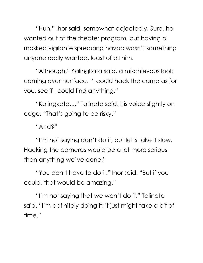"Huh," Ihor said, somewhat dejectedly. Sure, he wanted out of the theater program, but having a masked vigilante spreading havoc wasn't something anyone really wanted, least of all him.

"Although," Kalingkata said, a mischievous look coming over her face. "I could hack the cameras for you, see if I could find anything."

"Kalingkata...." Talinata said, his voice slightly on edge. "That's going to be risky."

"And?"

"I'm not saying don't do it, but let's take it slow. Hacking the cameras would be a lot more serious than anything we've done."

"You don't have to do it," Ihor said. "But if you could, that would be amazing."

"I'm not saying that we won't do it," Talinata said. "I'm definitely doing it; it just might take a bit of time."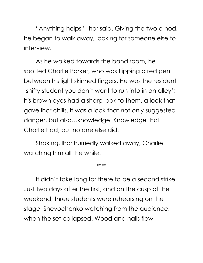"Anything helps," Ihor said. Giving the two a nod, he began to walk away, looking for someone else to interview.

As he walked towards the band room, he spotted Charlie Parker, who was flipping a red pen between his light skinned fingers. He was the resident 'shifty student you don't want to run into in an alley'; his brown eyes had a sharp look to them, a look that gave Ihor chills. It was a look that not only suggested danger, but also…knowledge. Knowledge that Charlie had, but no one else did.

Shaking, Ihor hurriedly walked away, Charlie watching him all the while.

\*\*\*\*

It didn't take long for there to be a second strike. Just two days after the first, and on the cusp of the weekend, three students were rehearsing on the stage, Shevochenko watching from the audience, when the set collapsed. Wood and nails flew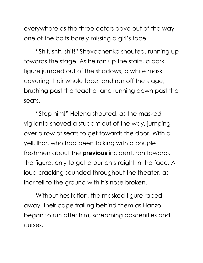everywhere as the three actors dove out of the way, one of the bolts barely missing a girl's face.

"Shit, shit, shit!" Shevochenko shouted, running up towards the stage. As he ran up the stairs, a dark figure jumped out of the shadows, a white mask covering their whole face, and ran off the stage, brushing past the teacher and running down past the seats.

"Stop him!" Helena shouted, as the masked vigilante shoved a student out of the way, jumping over a row of seats to get towards the door. With a yell, Ihor, who had been talking with a couple freshmen about the **previous** incident, ran towards the figure, only to get a punch straight in the face. A loud cracking sounded throughout the theater, as Ihor fell to the ground with his nose broken.

Without hesitation, the masked figure raced away, their cape trailing behind them as Hanzo began to run after him, screaming obscenities and curses.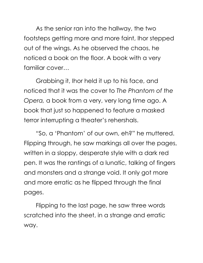As the senior ran into the hallway, the two footsteps getting more and more faint, Ihor stepped out of the wings. As he observed the chaos, he noticed a book on the floor. A book with a very familiar cover…

Grabbing it, Ihor held it up to his face, and noticed that it was the cover to *The Phantom of the Opera,* a book from a very, very long time ago. A book that just so happened to feature a masked terror interrupting a theater's rehershals.

"So, a 'Phantom' of our own, eh?" he muttered. Flipping through, he saw markings all over the pages, written in a sloppy, desperate style with a dark red pen. It was the rantings of a lunatic, talking of fingers and monsters and a strange void. It only got more and more erratic as he flipped through the final pages.

Flipping to the last page, he saw three words scratched into the sheet, in a strange and erratic way.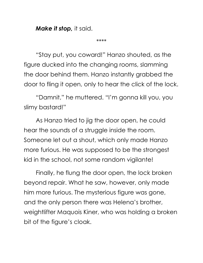*Make it stop,* it said.

\*\*\*\*

"Stay put, you coward!" Hanzo shouted, as the figure ducked into the changing rooms, slamming the door behind them. Hanzo instantly grabbed the door to fling it open, only to hear the click of the lock.

"Damnit," he muttered. "I'm gonna kill you, you slimy bastard!"

As Hanzo tried to jig the door open, he could hear the sounds of a struggle inside the room. Someone let out a shout, which only made Hanzo more furious. He was supposed to be the strongest kid in the school, not some random vigilante!

Finally, he flung the door open, the lock broken beyond repair. What he saw, however, only made him more furious. The mysterious figure was gone, and the only person there was Helena's brother, weightlifter Maquois Kiner, who was holding a broken bit of the figure's cloak.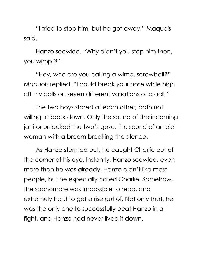"I tried to stop him, but he got away!" Maquois said.

Hanzo scowled. "Why didn't you stop him then, you wimp!?"

"Hey, who are you calling a wimp, screwball?" Maquois replied. "I could break your nose while high off my balls on seven different variations of crack."

The two boys stared at each other, both not willing to back down. Only the sound of the incoming janitor unlocked the two's gaze, the sound of an old woman with a broom breaking the silence.

As Hanzo stormed out, he caught Charlie out of the corner of his eye. Instantly, Hanzo scowled, even more than he was already. Hanzo didn't like most people, but he especially hated Charlie. Somehow, the sophomore was impossible to read, and extremely hard to get a rise out of. Not only that, he was the only one to successfully beat Hanzo in a fight, and Hanzo had never lived it down.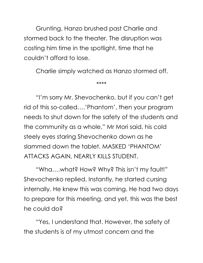Grunting, Hanzo brushed past Charlie and stormed back to the theater. The disruption was costing him time in the spotlight, time that he couldn't afford to lose.

Charlie simply watched as Hanzo stormed off.

\*\*\*\*

"I'm sorry Mr. Shevochenko, but if you can't get rid of this so-called….'Phantom', then your program needs to shut down for the safety of the students and the community as a whole," Mr Mori said, his cold steely eyes staring Shevochenko down as he slammed down the tablet. MASKED 'PHANTOM' ATTACKS AGAIN, NEARLY KILLS STUDENT.

"Wha….what? How? Why? This isn't my fault!" Shevochenko replied. Instantly, he started cursing internally. He knew this was coming. He had two days to prepare for this meeting, and yet, this was the best he could do?

"Yes, I understand that. However, the safety of the students is of my utmost concern and the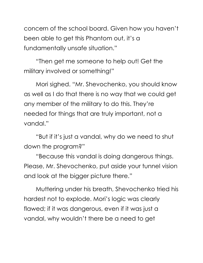concern of the school board. Given how you haven't been able to get this Phantom out, it's a fundamentally unsafe situation."

"Then get me someone to help out! Get the military involved or something!"

Mori sighed. "Mr. Shevochenko, you should know as well as I do that there is no way that we could get any member of the military to do this. They're needed for things that are truly important, not a vandal."

"But if it's just a vandal, why do we need to shut down the program?"

"Because this vandal is doing dangerous things. Please, Mr. Shevochenko, put aside your tunnel vision and look at the bigger picture there."

Muttering under his breath, Shevochenko tried his hardest not to explode. Mori's logic was clearly flawed; if it was dangerous, even if it was just a vandal, why wouldn't there be a need to get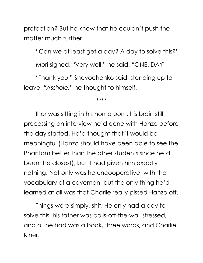protection? But he knew that he couldn't push the matter much further.

"Can we at least get a day? A day to solve this?"

Mori sighed. "Very well," he said. "ONE. DAY"

"Thank you," Shevochenko said, standing up to leave. *"Asshole,"* he thought to himself.

\*\*\*\*

Ihor was sitting in his homeroom, his brain still processing an interview he'd done with Hanzo before the day started. He'd thought that it would be meaningful (Hanzo should have been able to see the Phantom better than the other students since he'd been the closest), but it had given him exactly nothing. Not only was he uncooperative, with the vocabulary of a caveman, but the only thing he'd learned at all was that Charlie really pissed Hanzo off.

Things were simply, shit. He only had a day to solve this, his father was balls-off-the-wall stressed, and all he had was a book, three words, and Charlie Kiner.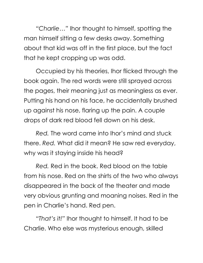*"Charlie…"* Ihor thought to himself, spotting the man himself sitting a few desks away. Something about that kid was off in the first place, but the fact that he kept cropping up was odd.

Occupied by his theories, Ihor flicked through the book again. The red words were still sprayed across the pages, their meaning just as meaningless as ever. Putting his hand on his face, he accidentally brushed up against his nose, flaring up the pain. A couple drops of dark red blood fell down on his desk.

*Red.* The word came into Ihor's mind and stuck there. *Red.* What did it mean? He saw red everyday, why was it staying inside his head?

*Red.* Red in the book. Red blood on the table from his nose. Red on the shirts of the two who always disappeared in the back of the theater and made very obvious grunting and moaning noises. Red in the pen in Charlie's hand. Red pen.

*"That's it!"* Ihor thought to himself. It had to be Charlie. Who else was mysterious enough, skilled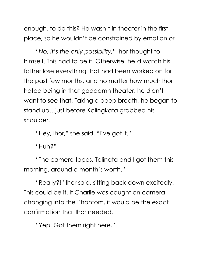enough, to do this? He wasn't in theater in the first place, so he wouldn't be constrained by emotion or

*"No, it's the only possibility,"* Ihor thought to himself. This had to be it. Otherwise, he'd watch his father lose everything that had been worked on for the past few months, and no matter how much Ihor hated being in that goddamn theater, he didn't want to see that. Taking a deep breath, he began to stand up…just before Kalingkata grabbed his shoulder.

"Hey, Ihor," she said. "I've got it."

"Huh?"

"The camera tapes. Talinata and I got them this morning, around a month's worth."

"Really?!" Ihor said, sitting back down excitedly. This could be it. If Charlie was caught on camera changing into the Phantom, it would be the exact confirmation that Ihor needed.

"Yep. Got them right here."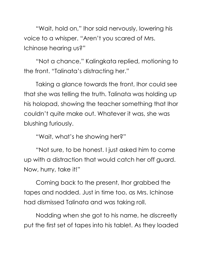"Wait, hold on," Ihor said nervously, lowering his voice to a whisper. "Aren't you scared of Mrs. Ichinose hearing us?"

"Not a chance," Kalingkata replied, motioning to the front. "Talinata's distracting her."

Taking a glance towards the front, Ihor could see that she was telling the truth. Talinata was holding up his holopad, showing the teacher something that Ihor couldn't quite make out. Whatever it was, she was blushing furiously.

"Wait, what's he showing her?"

"Not sure, to be honest. I just asked him to come up with a distraction that would catch her off guard. Now, hurry, take it!"

Coming back to the present, Ihor grabbed the tapes and nodded. Just in time too, as Mrs. Ichinose had dismissed Talinata and was taking roll.

Nodding when she got to his name, he discreetly put the first set of tapes into his tablet. As they loaded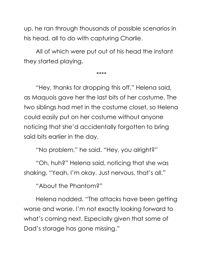up, he ran through thousands of possible scenarios in his head, all to do with capturing Charlie.

All of which were put out of his head the instant they started playing.

\*\*\*\*

"Hey, thanks for dropping this off," Helena said, as Maquois gave her the last bits of her costume. The two siblings had met in the costume closet, so Helena could easily put on her costume without anyone noticing that she'd accidentally forgotten to bring said bits earlier in the day.

"No problem," he said. "Hey, you alright?"

"Oh, huh?" Helena said, noticing that she was shaking. "Yeah, I'm okay. Just nervous, that's all."

"About the Phantom?"

Helena nodded. "The attacks have been getting worse and worse. I'm not exactly looking forward to what's coming next. Especially given that some of Dad's storage has gone missing."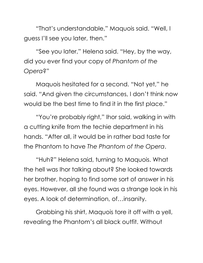"That's understandable," Maquois said. "Well, I guess I'll see you later, then."

"See you later," Helena said. "Hey, by the way, did you ever find your copy of *Phantom of the Opera*?"

Maquois hesitated for a second. "Not yet," he said. "And given the circumstances, I don't think now would be the best time to find it in the first place."

"You're probably right," Ihor said, walking in with a cutting knife from the techie department in his hands. "After all, it would be in rather bad taste for the Phantom to have *The Phantom of the Opera*.

"Huh?" Helena said, turning to Maquois. What the hell was Ihor talking about? She looked towards her brother, hoping to find some sort of answer in his eyes. However, all she found was a strange look in his eyes. A look of determination, of…insanity.

Grabbing his shirt, Maquois tore it off with a yell, revealing the Phantom's all black outfit. Without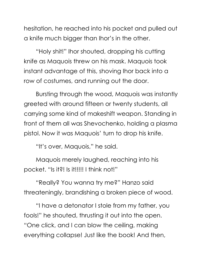hesitation, he reached into his pocket and pulled out a knife much bigger than Ihor's in the other.

"Holy shit!" Ihor shouted, dropping his cutting knife as Maquois threw on his mask. Maquois took instant advantage of this, shoving Ihor back into a row of costumes, and running out the door.

Bursting through the wood, Maquois was instantly greeted with around fifteen or twenty students, all carrying some kind of makeshift weapon. Standing in front of them all was Shevochenko, holding a plasma pistol. Now it was Maquois' turn to drop his knife.

"It's over, Maquois," he said.

Maquois merely laughed, reaching into his pocket. "Is it?! Is it!!!!! I think not!"

"Really? You wanna try me?" Hanzo said threateningly, brandishing a broken piece of wood.

"I have a detonator I stole from my father, you fools!" he shouted, thrusting it out into the open. "One click, and I can blow the ceiling, making everything collapse! Just like the book! And then,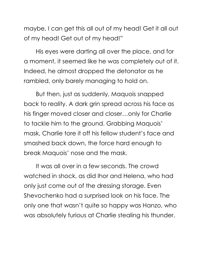maybe, I can get this all out of my head! Get it all out of my head! Get out of my head!"

His eyes were darting all over the place, and for a moment, it seemed like he was completely out of it. Indeed, he almost dropped the detonator as he rambled, only barely managing to hold on.

But then, just as suddenly, Maquois snapped back to reality. A dark grin spread across his face as his finger moved closer and closer…only for Charlie to tackle him to the ground. Grabbing Maquois' mask, Charlie tore it off his fellow student's face and smashed back down, the force hard enough to break Maquois' nose and the mask.

It was all over in a few seconds. The crowd watched in shock, as did Ihor and Helena, who had only just come out of the dressing storage. Even Shevochenko had a surprised look on his face. The only one that wasn't quite so happy was Hanzo, who was absolutely furious at Charlie stealing his thunder.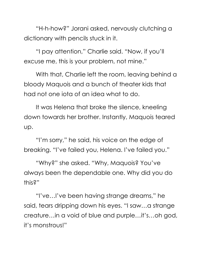"H-h-how?" Jorani asked, nervously clutching a dictionary with pencils stuck in it.

"I pay attention," Charlie said. "Now, if you'll excuse me, this is your problem, not mine."

With that, Charlie left the room, leaving behind a bloody Maquois and a bunch of theater kids that had not one iota of an idea what to do.

It was Helena that broke the silence, kneeling down towards her brother. Instantly, Maquois teared up.

"I'm sorry," he said, his voice on the edge of breaking. "I've failed you, Helena. I've failed you."

"Why?" she asked. "Why, Maquois? You've always been the dependable one. Why did you do this?"

"I've…I've been having strange dreams," he said, tears dripping down his eyes. "I saw…a strange creature…in a void of blue and purple…it's…oh god, it's monstrous!"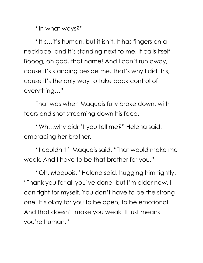"In what ways?"

"It's…it's human, but it isn't! It has fingers on a necklace, and it's standing next to me! It calls itself Booog, oh god, that name! And I can't run away, cause it's standing beside me. That's why I did this, cause it's the only way to take back control of everything…"

That was when Maquois fully broke down, with tears and snot streaming down his face.

"Wh…why didn't you tell me?" Helena said, embracing her brother.

"I couldn't," Maquois said. "That would make me weak. And I have to be that brother for you."

"Oh, Maquois," Helena said, hugging him tightly. "Thank you for all you've done, but I'm older now. I can fight for myself. You don't have to be the strong one. It's okay for you to be open, to be emotional. And that doesn't make you weak! It just means you're human."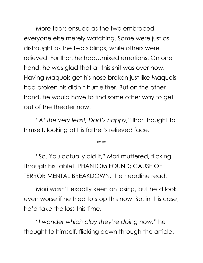More tears ensued as the two embraced, everyone else merely watching. Some were just as distraught as the two siblings, while others were relieved. For Ihor, he had…mixed emotions. On one hand, he was glad that all this shit was over now. Having Maquois get his nose broken just like Maquois had broken his didn't hurt either. But on the other hand, he would have to find some other way to get out of the theater now.

*"At the very least, Dad's happy,"* Ihor thought to himself, looking at his father's relieved face.

\*\*\*\*

"So. You actually did it," Mori muttered, flicking through his tablet. PHANTOM FOUND; CAUSE OF TERROR MENTAL BREAKDOWN, the headline read.

Mori wasn't exactly keen on losing, but he'd look even worse if he tried to stop this now. So, in this case, he'd take the loss this time.

*"I wonder which play they're doing now,"* he thought to himself, flicking down through the article.